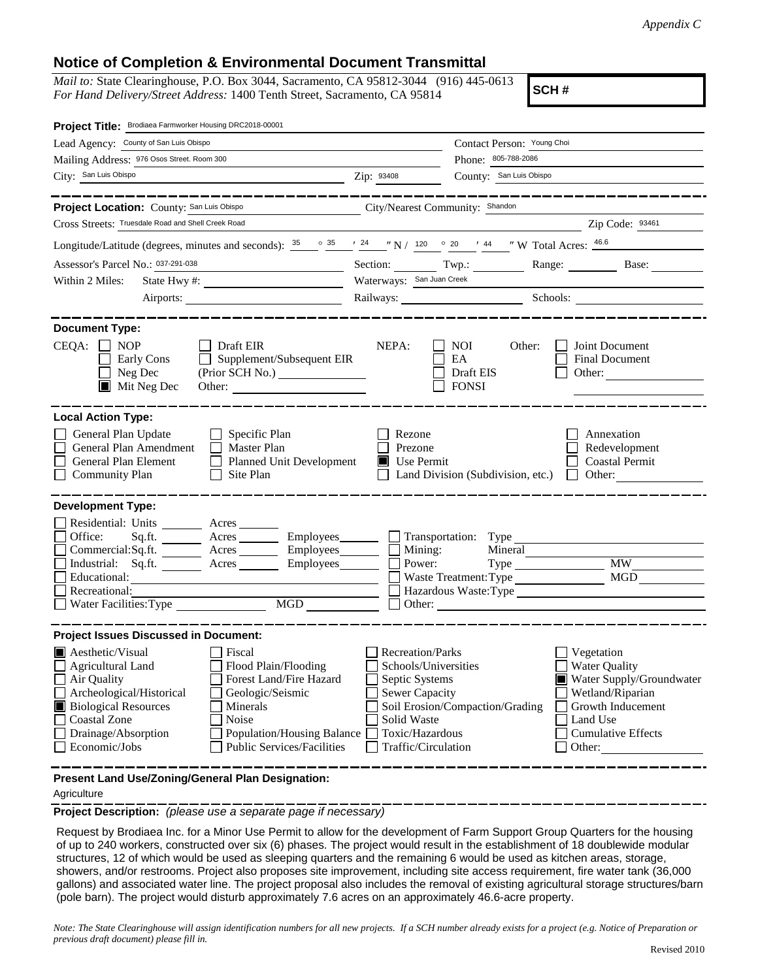## **Notice of Completion & Environmental Document Transmittal**

*Mail to:* State Clearinghouse, P.O. Box 3044, Sacramento, CA 95812-3044 (916) 445-0613 *For Hand Delivery/Street Address:* 1400 Tenth Street, Sacramento, CA 95814

**SCH #**

| Project Title: Brodiaea Farmworker Housing DRC2018-00001                                                                                                                                                  |                                        |                                   |                                     |  |
|-----------------------------------------------------------------------------------------------------------------------------------------------------------------------------------------------------------|----------------------------------------|-----------------------------------|-------------------------------------|--|
| Lead Agency: County of San Luis Obispo                                                                                                                                                                    |                                        | Contact Person: Young Choi        |                                     |  |
| Mailing Address: 976 Osos Street. Room 300                                                                                                                                                                |                                        | Phone: 805-788-2086               |                                     |  |
| City: San Luis Obispo                                                                                                                                                                                     | Zip: 93408                             | County: San Luis Obispo           |                                     |  |
| Project Location: County: San Luis Obispo                                                                                                                                                                 | City/Nearest Community: Shandon        |                                   |                                     |  |
| Cross Streets: Truesdale Road and Shell Creek Road                                                                                                                                                        |                                        |                                   | Zip Code: 93461                     |  |
|                                                                                                                                                                                                           |                                        |                                   |                                     |  |
| Longitude/Latitude (degrees, minutes and seconds): $\frac{35}{25}$ $\frac{35}{24}$ $\frac{124}{24}$ $\frac{120}{24}$ $\frac{20}{20}$ $\frac{144}{44}$ $\frac{140}{24}$ W Total Acres: $\frac{46.6}{46.6}$ |                                        |                                   |                                     |  |
| Assessor's Parcel No.: 037-291-038                                                                                                                                                                        | Section: Twp.:                         |                                   | Range: Base:                        |  |
| Within 2 Miles:                                                                                                                                                                                           | Waterways: San Juan Creek              |                                   |                                     |  |
|                                                                                                                                                                                                           |                                        |                                   | Railways: Schools:                  |  |
| <b>Document Type:</b>                                                                                                                                                                                     |                                        |                                   |                                     |  |
| CEQA:<br>$\Box$ Draft EIR<br>NOP<br>Supplement/Subsequent EIR<br>Early Cons                                                                                                                               | NEPA:                                  | NOI<br>Other:<br>EA               | Joint Document<br>Final Document    |  |
| Neg Dec                                                                                                                                                                                                   |                                        | Draft EIS                         | Other:                              |  |
| Mit Neg Dec                                                                                                                                                                                               |                                        | <b>FONSI</b>                      |                                     |  |
|                                                                                                                                                                                                           |                                        |                                   |                                     |  |
| <b>Local Action Type:</b>                                                                                                                                                                                 |                                        |                                   |                                     |  |
| General Plan Update<br>$\Box$ Specific Plan<br>General Plan Amendment<br>$\Box$ Master Plan                                                                                                               | Rezone<br>Prezone                      |                                   | Annexation<br>Redevelopment         |  |
| General Plan Element<br>$\Box$<br><b>Planned Unit Development</b>                                                                                                                                         | Use Permit                             |                                   | <b>Coastal Permit</b>               |  |
| <b>Community Plan</b><br>Site Plan                                                                                                                                                                        |                                        | Land Division (Subdivision, etc.) | $\Box$ Other:                       |  |
|                                                                                                                                                                                                           |                                        |                                   |                                     |  |
| <b>Development Type:</b>                                                                                                                                                                                  |                                        |                                   |                                     |  |
| Residential: Units ________ Acres ______                                                                                                                                                                  |                                        |                                   |                                     |  |
| Office:<br>Sq.ft. ________ Acres _________ Employees _______ __ Transportation: Type _________________________<br>Commercial:Sq.ft. ________ Acres _________ Employees _______ __ Mining:                 |                                        |                                   |                                     |  |
| Industrial: Sq.ft. _______ Acres ________ Employees________ $\Box$                                                                                                                                        | Power:                                 | Mineral<br>Type                   | MW                                  |  |
| Educational:                                                                                                                                                                                              |                                        | Waste Treatment: Type             | MGD                                 |  |
| Recreational:                                                                                                                                                                                             |                                        |                                   | Hazardous Waste:Type                |  |
| MGD                                                                                                                                                                                                       |                                        | Other:                            |                                     |  |
| <b>Project Issues Discussed in Document:</b>                                                                                                                                                              |                                        |                                   |                                     |  |
| Aesthetic/Visual<br>Fiscal                                                                                                                                                                                | <b>Recreation/Parks</b>                |                                   | Vegetation                          |  |
| Flood Plain/Flooding<br>Agricultural Land                                                                                                                                                                 | Schools/Universities                   |                                   | <b>Water Quality</b>                |  |
| Forest Land/Fire Hazard<br>$\Box$ Air Quality                                                                                                                                                             | Septic Systems                         |                                   | Water Supply/Groundwater            |  |
| Archeological/Historical<br>Geologic/Seismic                                                                                                                                                              | Sewer Capacity                         |                                   | Wetland/Riparian                    |  |
| <b>Biological Resources</b><br>Minerals                                                                                                                                                                   |                                        | Soil Erosion/Compaction/Grading   | Growth Inducement                   |  |
| <b>Coastal Zone</b><br>Noise                                                                                                                                                                              | Solid Waste                            |                                   | Land Use                            |  |
| Drainage/Absorption<br>Population/Housing Balance<br>Economic/Jobs<br><b>Public Services/Facilities</b>                                                                                                   | Toxic/Hazardous<br>Traffic/Circulation |                                   | <b>Cumulative Effects</b><br>Other: |  |
|                                                                                                                                                                                                           |                                        |                                   |                                     |  |
| Present Land Use/Zoning/General Plan Designation:                                                                                                                                                         |                                        |                                   |                                     |  |

Agriculture

**Project Description:** *(please use a separate page if necessary)*

 Request by Brodiaea Inc. for a Minor Use Permit to allow for the development of Farm Support Group Quarters for the housing of up to 240 workers, constructed over six (6) phases. The project would result in the establishment of 18 doublewide modular structures, 12 of which would be used as sleeping quarters and the remaining 6 would be used as kitchen areas, storage, showers, and/or restrooms. Project also proposes site improvement, including site access requirement, fire water tank (36,000 gallons) and associated water line. The project proposal also includes the removal of existing agricultural storage structures/barn (pole barn). The project would disturb approximately 7.6 acres on an approximately 46.6-acre property.

*Note: The State Clearinghouse will assign identification numbers for all new projects. If a SCH number already exists for a project (e.g. Notice of Preparation or previous draft document) please fill in.*